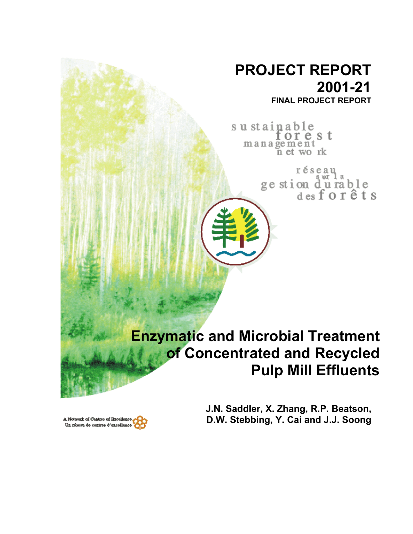# **PROJECT REPORT 2001-21 FINAL PROJECT REPORT**

sustainable orest management<br>net work

> réseau ge stion du rable<br>desforêts

# **Enzymatic and Microbial Treatment of Concentrated and Recycled Pulp Mill Effluents**

**J.N. Saddler, X. Zhang, R.P. Beatson, D.W. Stebbing, Y. Cai and J.J. Soong** 

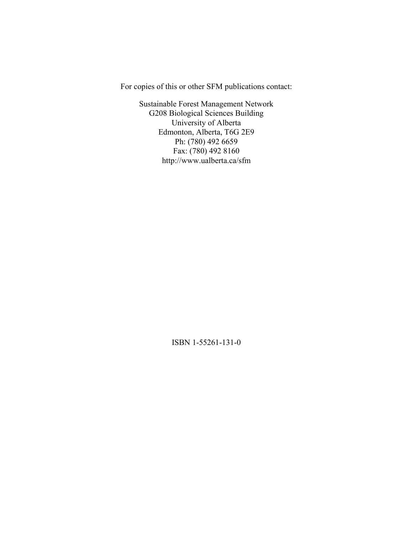For copies of this or other SFM publications contact:

Sustainable Forest Management Network G208 Biological Sciences Building University of Alberta Edmonton, Alberta, T6G 2E9 Ph: (780) 492 6659 Fax: (780) 492 8160 http://www.ualberta.ca/sfm

ISBN 1-55261-131-0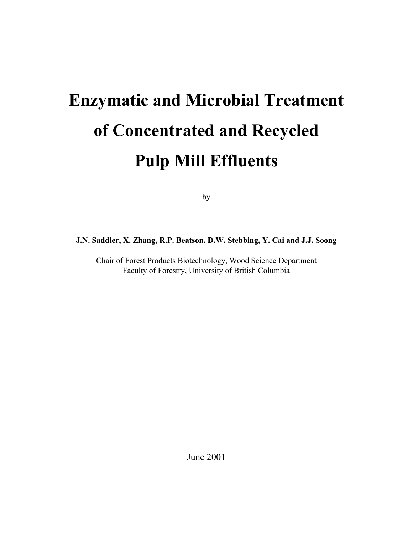# **Enzymatic and Microbial Treatment of Concentrated and Recycled Pulp Mill Effluents**

by

### **J.N. Saddler, X. Zhang, R.P. Beatson, D.W. Stebbing, Y. Cai and J.J. Soong**

Chair of Forest Products Biotechnology, Wood Science Department Faculty of Forestry, University of British Columbia

June 2001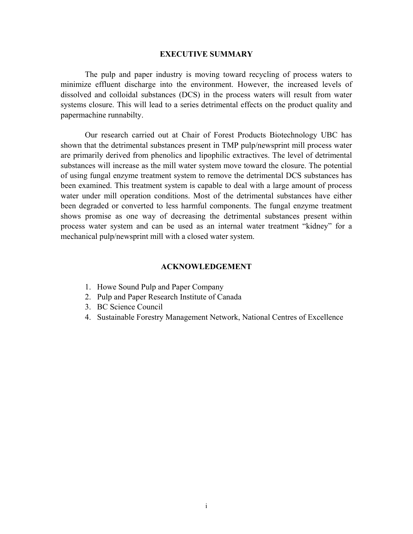#### **EXECUTIVE SUMMARY**

The pulp and paper industry is moving toward recycling of process waters to minimize effluent discharge into the environment. However, the increased levels of dissolved and colloidal substances (DCS) in the process waters will result from water systems closure. This will lead to a series detrimental effects on the product quality and papermachine runnabilty.

Our research carried out at Chair of Forest Products Biotechnology UBC has shown that the detrimental substances present in TMP pulp/newsprint mill process water are primarily derived from phenolics and lipophilic extractives. The level of detrimental substances will increase as the mill water system move toward the closure. The potential of using fungal enzyme treatment system to remove the detrimental DCS substances has been examined. This treatment system is capable to deal with a large amount of process water under mill operation conditions. Most of the detrimental substances have either been degraded or converted to less harmful components. The fungal enzyme treatment shows promise as one way of decreasing the detrimental substances present within process water system and can be used as an internal water treatment "kidney" for a mechanical pulp/newsprint mill with a closed water system.

#### **ACKNOWLEDGEMENT**

- 1. Howe Sound Pulp and Paper Company
- 2. Pulp and Paper Research Institute of Canada
- 3. BC Science Council
- 4. Sustainable Forestry Management Network, National Centres of Excellence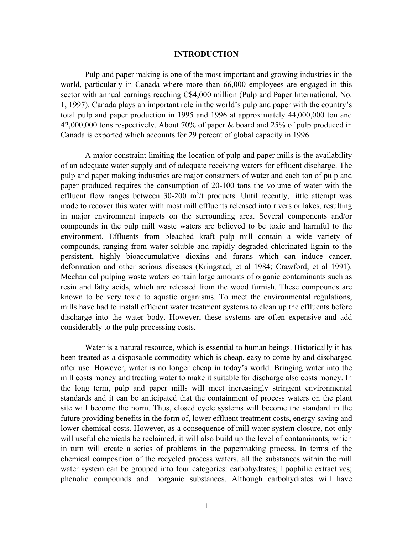#### **INTRODUCTION**

Pulp and paper making is one of the most important and growing industries in the world, particularly in Canada where more than 66,000 employees are engaged in this sector with annual earnings reaching C\$4,000 million (Pulp and Paper International, No. 1, 1997). Canada plays an important role in the world's pulp and paper with the country's total pulp and paper production in 1995 and 1996 at approximately 44,000,000 ton and 42,000,000 tons respectively. About 70% of paper & board and 25% of pulp produced in Canada is exported which accounts for 29 percent of global capacity in 1996.

A major constraint limiting the location of pulp and paper mills is the availability of an adequate water supply and of adequate receiving waters for effluent discharge. The pulp and paper making industries are major consumers of water and each ton of pulp and paper produced requires the consumption of 20-100 tons the volume of water with the effluent flow ranges between  $30-200$  m<sup>3</sup>/t products. Until recently, little attempt was made to recover this water with most mill effluents released into rivers or lakes, resulting in major environment impacts on the surrounding area. Several components and/or compounds in the pulp mill waste waters are believed to be toxic and harmful to the environment. Effluents from bleached kraft pulp mill contain a wide variety of compounds, ranging from water-soluble and rapidly degraded chlorinated lignin to the persistent, highly bioaccumulative dioxins and furans which can induce cancer, deformation and other serious diseases (Kringstad, et al 1984; Crawford, et al 1991). Mechanical pulping waste waters contain large amounts of organic contaminants such as resin and fatty acids, which are released from the wood furnish. These compounds are known to be very toxic to aquatic organisms. To meet the environmental regulations, mills have had to install efficient water treatment systems to clean up the effluents before discharge into the water body. However, these systems are often expensive and add considerably to the pulp processing costs.

Water is a natural resource, which is essential to human beings. Historically it has been treated as a disposable commodity which is cheap, easy to come by and discharged after use. However, water is no longer cheap in today's world. Bringing water into the mill costs money and treating water to make it suitable for discharge also costs money. In the long term, pulp and paper mills will meet increasingly stringent environmental standards and it can be anticipated that the containment of process waters on the plant site will become the norm. Thus, closed cycle systems will become the standard in the future providing benefits in the form of, lower effluent treatment costs, energy saving and lower chemical costs. However, as a consequence of mill water system closure, not only will useful chemicals be reclaimed, it will also build up the level of contaminants, which in turn will create a series of problems in the papermaking process. In terms of the chemical composition of the recycled process waters, all the substances within the mill water system can be grouped into four categories: carbohydrates; lipophilic extractives; phenolic compounds and inorganic substances. Although carbohydrates will have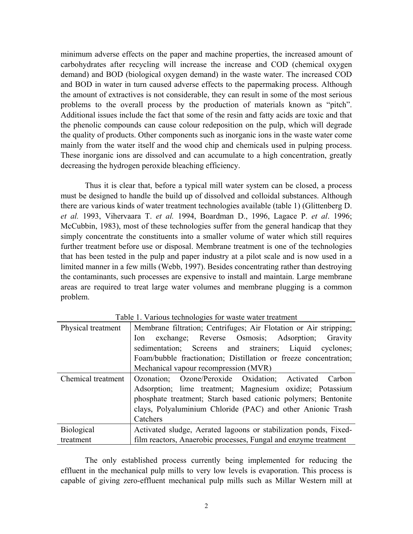minimum adverse effects on the paper and machine properties, the increased amount of carbohydrates after recycling will increase the increase and COD (chemical oxygen demand) and BOD (biological oxygen demand) in the waste water. The increased COD and BOD in water in turn caused adverse effects to the papermaking process. Although the amount of extractives is not considerable, they can result in some of the most serious problems to the overall process by the production of materials known as "pitch". Additional issues include the fact that some of the resin and fatty acids are toxic and that the phenolic compounds can cause colour redeposition on the pulp, which will degrade the quality of products. Other components such as inorganic ions in the waste water come mainly from the water itself and the wood chip and chemicals used in pulping process. These inorganic ions are dissolved and can accumulate to a high concentration, greatly decreasing the hydrogen peroxide bleaching efficiency.

Thus it is clear that, before a typical mill water system can be closed, a process must be designed to handle the build up of dissolved and colloidal substances. Although there are various kinds of water treatment technologies available (table 1) (Glittenberg D. *et al.* 1993, Vihervaara T. *et al.* 1994, Boardman D., 1996, Lagace P. *et al*. 1996; McCubbin, 1983), most of these technologies suffer from the general handicap that they simply concentrate the constituents into a smaller volume of water which still requires further treatment before use or disposal. Membrane treatment is one of the technologies that has been tested in the pulp and paper industry at a pilot scale and is now used in a limited manner in a few mills (Webb, 1997). Besides concentrating rather than destroying the contaminants, such processes are expensive to install and maintain. Large membrane areas are required to treat large water volumes and membrane plugging is a common problem.

| Physical treatment | Membrane filtration; Centrifuges; Air Flotation or Air stripping; |  |  |  |  |
|--------------------|-------------------------------------------------------------------|--|--|--|--|
|                    | exchange; Reverse Osmosis; Adsorption;<br>Ion -<br>Gravity        |  |  |  |  |
|                    | sedimentation; Screens and strainers; Liquid<br>cyclones;         |  |  |  |  |
|                    | Foam/bubble fractionation; Distillation or freeze concentration;  |  |  |  |  |
|                    | Mechanical vapour recompression (MVR)                             |  |  |  |  |
| Chemical treatment | Ozonation; Ozone/Peroxide Oxidation; Activated Carbon             |  |  |  |  |
|                    | Adsorption; lime treatment; Magnesium oxidize; Potassium          |  |  |  |  |
|                    | phosphate treatment; Starch based cationic polymers; Bentonite    |  |  |  |  |
|                    | clays, Polyaluminium Chloride (PAC) and other Anionic Trash       |  |  |  |  |
|                    | Catchers                                                          |  |  |  |  |
| <b>Biological</b>  | Activated sludge, Aerated lagoons or stabilization ponds, Fixed-  |  |  |  |  |
| treatment          | film reactors, Anaerobic processes, Fungal and enzyme treatment   |  |  |  |  |

Table 1. Various technologies for waste water treatment

The only established process currently being implemented for reducing the effluent in the mechanical pulp mills to very low levels is evaporation. This process is capable of giving zero-effluent mechanical pulp mills such as Millar Western mill at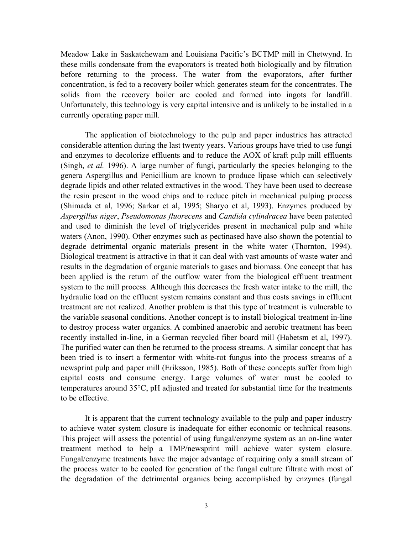Meadow Lake in Saskatchewam and Louisiana Pacific's BCTMP mill in Chetwynd. In these mills condensate from the evaporators is treated both biologically and by filtration before returning to the process. The water from the evaporators, after further concentration, is fed to a recovery boiler which generates steam for the concentrates. The solids from the recovery boiler are cooled and formed into ingots for landfill. Unfortunately, this technology is very capital intensive and is unlikely to be installed in a currently operating paper mill.

The application of biotechnology to the pulp and paper industries has attracted considerable attention during the last twenty years. Various groups have tried to use fungi and enzymes to decolorize effluents and to reduce the AOX of kraft pulp mill effluents (Singh, *et al.* 1996). A large number of fungi, particularly the species belonging to the genera Aspergillus and Penicillium are known to produce lipase which can selectively degrade lipids and other related extractives in the wood. They have been used to decrease the resin present in the wood chips and to reduce pitch in mechanical pulping process (Shimada et al, 1996; Sarkar et al, 1995; Sharyo et al, 1993). Enzymes produced by *Aspergillus niger*, *Pseudomonas fluorecens* and *Candida cylindracea* have been patented and used to diminish the level of triglycerides present in mechanical pulp and white waters (Anon, 1990). Other enzymes such as pectinased have also shown the potential to degrade detrimental organic materials present in the white water (Thornton, 1994). Biological treatment is attractive in that it can deal with vast amounts of waste water and results in the degradation of organic materials to gases and biomass. One concept that has been applied is the return of the outflow water from the biological effluent treatment system to the mill process. Although this decreases the fresh water intake to the mill, the hydraulic load on the effluent system remains constant and thus costs savings in effluent treatment are not realized. Another problem is that this type of treatment is vulnerable to the variable seasonal conditions. Another concept is to install biological treatment in-line to destroy process water organics. A combined anaerobic and aerobic treatment has been recently installed in-line, in a German recycled fiber board mill (Habetsm et al, 1997). The purified water can then be returned to the process streams. A similar concept that has been tried is to insert a fermentor with white-rot fungus into the process streams of a newsprint pulp and paper mill (Eriksson, 1985). Both of these concepts suffer from high capital costs and consume energy. Large volumes of water must be cooled to temperatures around 35°C, pH adjusted and treated for substantial time for the treatments to be effective.

It is apparent that the current technology available to the pulp and paper industry to achieve water system closure is inadequate for either economic or technical reasons. This project will assess the potential of using fungal/enzyme system as an on-line water treatment method to help a TMP/newsprint mill achieve water system closure. Fungal/enzyme treatments have the major advantage of requiring only a small stream of the process water to be cooled for generation of the fungal culture filtrate with most of the degradation of the detrimental organics being accomplished by enzymes (fungal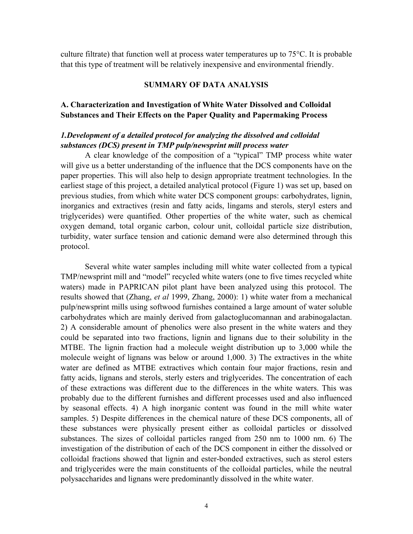culture filtrate) that function well at process water temperatures up to 75°C. It is probable that this type of treatment will be relatively inexpensive and environmental friendly.

#### **SUMMARY OF DATA ANALYSIS**

### **A. Characterization and Investigation of White Water Dissolved and Colloidal Substances and Their Effects on the Paper Quality and Papermaking Process**

# *1.Development of a detailed protocol for analyzing the dissolved and colloidal substances (DCS) present in TMP pulp/newsprint mill process water*

A clear knowledge of the composition of a "typical" TMP process white water will give us a better understanding of the influence that the DCS components have on the paper properties. This will also help to design appropriate treatment technologies. In the earliest stage of this project, a detailed analytical protocol (Figure 1) was set up, based on previous studies, from which white water DCS component groups: carbohydrates, lignin, inorganics and extractives (resin and fatty acids, lingams and sterols, steryl esters and triglycerides) were quantified. Other properties of the white water, such as chemical oxygen demand, total organic carbon, colour unit, colloidal particle size distribution, turbidity, water surface tension and cationic demand were also determined through this protocol.

Several white water samples including mill white water collected from a typical TMP/newsprint mill and "model" recycled white waters (one to five times recycled white waters) made in PAPRICAN pilot plant have been analyzed using this protocol. The results showed that (Zhang, *et al* 1999, Zhang, 2000): 1) white water from a mechanical pulp/newsprint mills using softwood furnishes contained a large amount of water soluble carbohydrates which are mainly derived from galactoglucomannan and arabinogalactan. 2) A considerable amount of phenolics were also present in the white waters and they could be separated into two fractions, lignin and lignans due to their solubility in the MTBE. The lignin fraction had a molecule weight distribution up to 3,000 while the molecule weight of lignans was below or around 1,000. 3) The extractives in the white water are defined as MTBE extractives which contain four major fractions, resin and fatty acids, lignans and sterols, sterly esters and triglycerides. The concentration of each of these extractions was different due to the differences in the white waters. This was probably due to the different furnishes and different processes used and also influenced by seasonal effects. 4) A high inorganic content was found in the mill white water samples. 5) Despite differences in the chemical nature of these DCS components, all of these substances were physically present either as colloidal particles or dissolved substances. The sizes of colloidal particles ranged from 250 nm to 1000 nm. 6) The investigation of the distribution of each of the DCS component in either the dissolved or colloidal fractions showed that lignin and ester-bonded extractives, such as sterol esters and triglycerides were the main constituents of the colloidal particles, while the neutral polysaccharides and lignans were predominantly dissolved in the white water.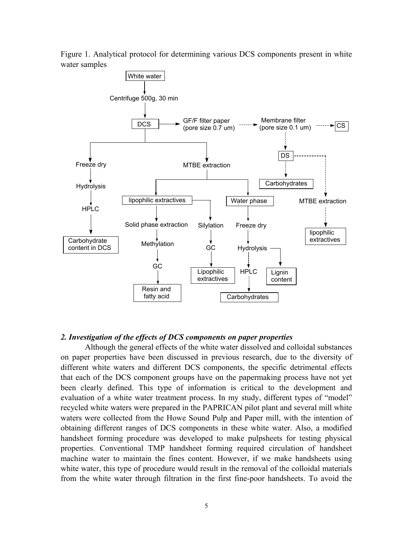Figure 1. Analytical protocol for determining various DCS components present in white water samples



#### *2. Investigation of the effects of DCS components on paper properties*

Although the general effects of the white water dissolved and colloidal substances on paper properties have been discussed in previous research, due to the diversity of different white waters and different DCS components, the specific detrimental effects that each of the DCS component groups have on the papermaking process have not yet been clearly defined. This type of information is critical to the development and evaluation of a white water treatment process. In my study, different types of "model" recycled white waters were prepared in the PAPRICAN pilot plant and several mill white waters were collected from the Howe Sound Pulp and Paper mill, with the intention of obtaining different ranges of DCS components in these white water. Also, a modified handsheet forming procedure was developed to make pulpsheets for testing physical properties. Conventional TMP handsheet forming required circulation of handsheet machine water to maintain the fines content. However, if we make handsheets using white water, this type of procedure would result in the removal of the colloidal materials from the white water through filtration in the first fine-poor handsheets. To avoid the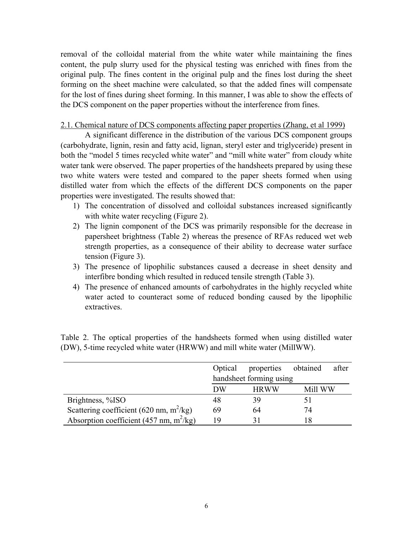removal of the colloidal material from the white water while maintaining the fines content, the pulp slurry used for the physical testing was enriched with fines from the original pulp. The fines content in the original pulp and the fines lost during the sheet forming on the sheet machine were calculated, so that the added fines will compensate for the lost of fines during sheet forming. In this manner, I was able to show the effects of the DCS component on the paper properties without the interference from fines.

#### 2.1. Chemical nature of DCS components affecting paper properties (Zhang, et al 1999)

A significant difference in the distribution of the various DCS component groups (carbohydrate, lignin, resin and fatty acid, lignan, steryl ester and triglyceride) present in both the "model 5 times recycled white water" and "mill white water" from cloudy white water tank were observed. The paper properties of the handsheets prepared by using these two white waters were tested and compared to the paper sheets formed when using distilled water from which the effects of the different DCS components on the paper properties were investigated. The results showed that:

- 1) The concentration of dissolved and colloidal substances increased significantly with white water recycling (Figure 2).
- 2) The lignin component of the DCS was primarily responsible for the decrease in papersheet brightness (Table 2) whereas the presence of RFAs reduced wet web strength properties, as a consequence of their ability to decrease water surface tension (Figure 3).
- 3) The presence of lipophilic substances caused a decrease in sheet density and interfibre bonding which resulted in reduced tensile strength (Table 3).
- 4) The presence of enhanced amounts of carbohydrates in the highly recycled white water acted to counteract some of reduced bonding caused by the lipophilic extractives.

|                                            | Optical                 | properties obtained |         | after |
|--------------------------------------------|-------------------------|---------------------|---------|-------|
|                                            | handsheet forming using |                     |         |       |
|                                            | DW                      | <b>HRWW</b>         | Mill WW |       |
| Brightness, %ISO                           | 48                      | 39                  |         |       |
| Scattering coefficient (620 nm, $m^2/kg$ ) | 69                      | 64                  | 74      |       |
| Absorption coefficient (457 nm, $m^2/kg$ ) | 19                      |                     |         |       |

Table 2. The optical properties of the handsheets formed when using distilled water (DW), 5-time recycled white water (HRWW) and mill white water (MillWW).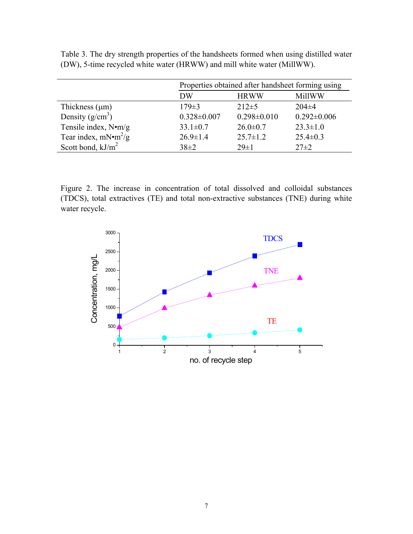|                              | Properties obtained after handsheet forming using |                   |                   |  |
|------------------------------|---------------------------------------------------|-------------------|-------------------|--|
|                              | DW                                                | <b>HRWW</b>       | MillWW            |  |
| Thickness $(\mu m)$          | $179 \pm 3$                                       | $212\pm5$         | $204\pm4$         |  |
| Density $(g/cm^3)$           | $0.328 \pm 0.007$                                 | $0.298 \pm 0.010$ | $0.292 \pm 0.006$ |  |
| Tensile index, $N \cdot m/g$ | $33.1 \pm 0.7$                                    | $26.0 \pm 0.7$    | $23.3 \pm 1.0$    |  |
| Tear index, $mN \cdot m^2/g$ | $26.9 \pm 1.4$                                    | $25.7 \pm 1.2$    | $25.4 \pm 0.3$    |  |
| Scott bond, $kJ/m^2$         | $38\pm2$                                          | $29 \pm 1$        | $27 \pm 2$        |  |

Table 3. The dry strength properties of the handsheets formed when using distilled water (DW), 5-time recycled white water (HRWW) and mill white water (MillWW).

Figure 2. The increase in concentration of total dissolved and colloidal substances (TDCS), total extractives (TE) and total non-extractive substances (TNE) during white water recycle.

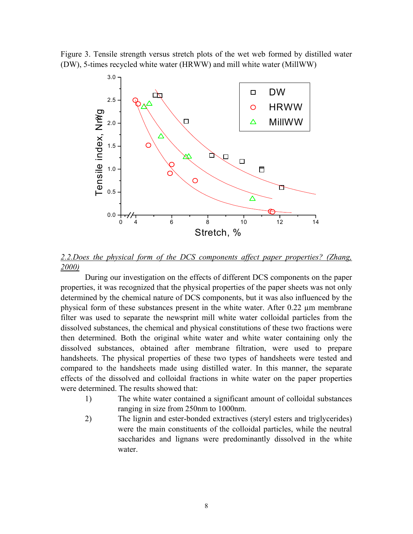Figure 3. Tensile strength versus stretch plots of the wet web formed by distilled water (DW), 5-times recycled white water (HRWW) and mill white water (MillWW)



*2.2.Does the physical form of the DCS components affect paper properties? (Zhang, 2000)*

During our investigation on the effects of different DCS components on the paper properties, it was recognized that the physical properties of the paper sheets was not only determined by the chemical nature of DCS components, but it was also influenced by the physical form of these substances present in the white water. After 0.22 µm membrane filter was used to separate the newsprint mill white water colloidal particles from the dissolved substances, the chemical and physical constitutions of these two fractions were then determined. Both the original white water and white water containing only the dissolved substances, obtained after membrane filtration, were used to prepare handsheets. The physical properties of these two types of handsheets were tested and compared to the handsheets made using distilled water. In this manner, the separate effects of the dissolved and colloidal fractions in white water on the paper properties were determined. The results showed that:

- 1) The white water contained a significant amount of colloidal substances ranging in size from 250nm to 1000nm.
- 2) The lignin and ester-bonded extractives (steryl esters and triglycerides) were the main constituents of the colloidal particles, while the neutral saccharides and lignans were predominantly dissolved in the white water.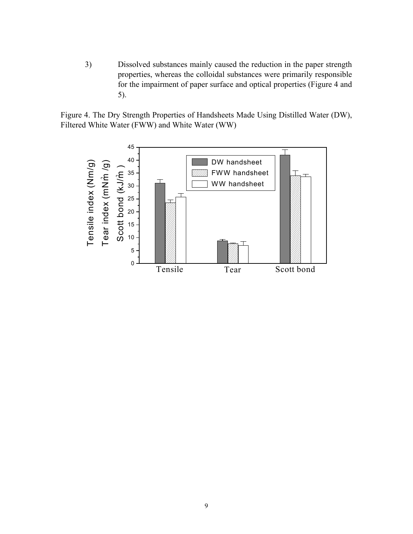3) Dissolved substances mainly caused the reduction in the paper strength properties, whereas the colloidal substances were primarily responsible for the impairment of paper surface and optical properties (Figure 4 and 5).

Figure 4. The Dry Strength Properties of Handsheets Made Using Distilled Water (DW), Filtered White Water (FWW) and White Water (WW)

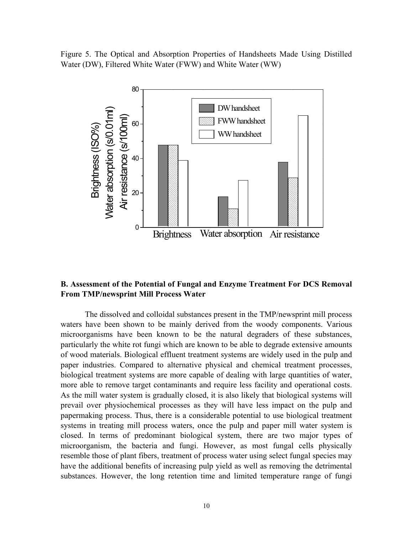Figure 5. The Optical and Absorption Properties of Handsheets Made Using Distilled Water (DW), Filtered White Water (FWW) and White Water (WW)



### **B. Assessment of the Potential of Fungal and Enzyme Treatment For DCS Removal From TMP/newsprint Mill Process Water**

The dissolved and colloidal substances present in the TMP/newsprint mill process waters have been shown to be mainly derived from the woody components. Various microorganisms have been known to be the natural degraders of these substances, particularly the white rot fungi which are known to be able to degrade extensive amounts of wood materials. Biological effluent treatment systems are widely used in the pulp and paper industries. Compared to alternative physical and chemical treatment processes, biological treatment systems are more capable of dealing with large quantities of water, more able to remove target contaminants and require less facility and operational costs. As the mill water system is gradually closed, it is also likely that biological systems will prevail over physiochemical processes as they will have less impact on the pulp and papermaking process. Thus, there is a considerable potential to use biological treatment systems in treating mill process waters, once the pulp and paper mill water system is closed. In terms of predominant biological system, there are two major types of microorganism, the bacteria and fungi. However, as most fungal cells physically resemble those of plant fibers, treatment of process water using select fungal species may have the additional benefits of increasing pulp yield as well as removing the detrimental substances. However, the long retention time and limited temperature range of fungi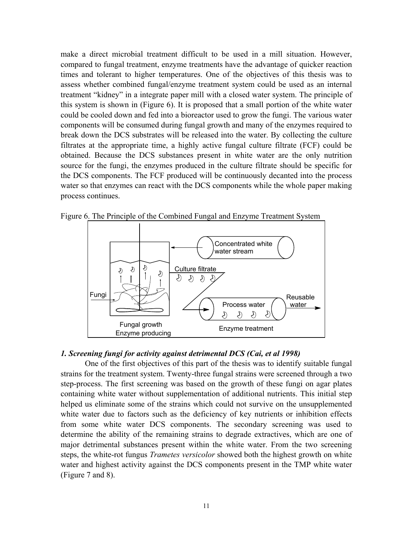make a direct microbial treatment difficult to be used in a mill situation. However, compared to fungal treatment, enzyme treatments have the advantage of quicker reaction times and tolerant to higher temperatures. One of the objectives of this thesis was to assess whether combined fungal/enzyme treatment system could be used as an internal treatment "kidney" in a integrate paper mill with a closed water system. The principle of this system is shown in (Figure 6). It is proposed that a small portion of the white water could be cooled down and fed into a bioreactor used to grow the fungi. The various water components will be consumed during fungal growth and many of the enzymes required to break down the DCS substrates will be released into the water. By collecting the culture filtrates at the appropriate time, a highly active fungal culture filtrate (FCF) could be obtained. Because the DCS substances present in white water are the only nutrition source for the fungi, the enzymes produced in the culture filtrate should be specific for the DCS components. The FCF produced will be continuously decanted into the process water so that enzymes can react with the DCS components while the whole paper making process continues.



Figure 6. The Principle of the Combined Fungal and Enzyme Treatment System

# *1. Screening fungi for activity against detrimental DCS (Cai, et al 1998)*

One of the first objectives of this part of the thesis was to identify suitable fungal strains for the treatment system. Twenty-three fungal strains were screened through a two step-process. The first screening was based on the growth of these fungi on agar plates containing white water without supplementation of additional nutrients. This initial step helped us eliminate some of the strains which could not survive on the unsupplemented white water due to factors such as the deficiency of key nutrients or inhibition effects from some white water DCS components. The secondary screening was used to determine the ability of the remaining strains to degrade extractives, which are one of major detrimental substances present within the white water. From the two screening steps, the white-rot fungus *Trametes versicolor* showed both the highest growth on white water and highest activity against the DCS components present in the TMP white water (Figure 7 and 8).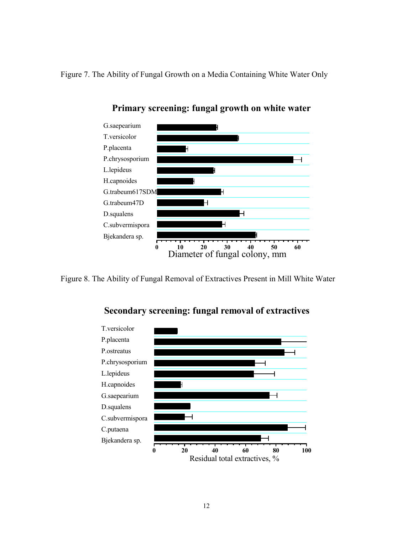Figure 7. The Ability of Fungal Growth on a Media Containing White Water Only



**Primary screening: fungal growth on white water**

Figure 8. The Ability of Fungal Removal of Extractives Present in Mill White Water



**Secondary screening: fungal removal of extractives**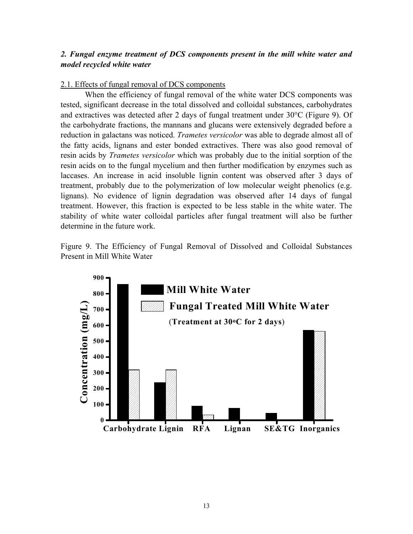# *2. Fungal enzyme treatment of DCS components present in the mill white water and model recycled white water*

#### 2.1. Effects of fungal removal of DCS components

When the efficiency of fungal removal of the white water DCS components was tested, significant decrease in the total dissolved and colloidal substances, carbohydrates and extractives was detected after 2 days of fungal treatment under 30°C (Figure 9). Of the carbohydrate fractions, the mannans and glucans were extensively degraded before a reduction in galactans was noticed. *Trametes versicolor* was able to degrade almost all of the fatty acids, lignans and ester bonded extractives. There was also good removal of resin acids by *Trametes versicolor* which was probably due to the initial sorption of the resin acids on to the fungal mycelium and then further modification by enzymes such as laccases. An increase in acid insoluble lignin content was observed after 3 days of treatment, probably due to the polymerization of low molecular weight phenolics (e.g. lignans). No evidence of lignin degradation was observed after 14 days of fungal treatment. However, this fraction is expected to be less stable in the white water. The stability of white water colloidal particles after fungal treatment will also be further determine in the future work.

Figure 9. The Efficiency of Fungal Removal of Dissolved and Colloidal Substances Present in Mill White Water

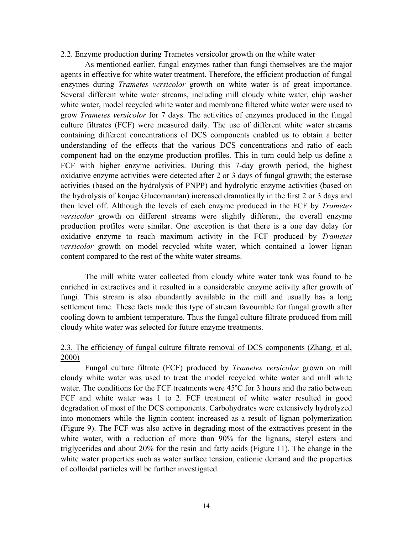#### 2.2. Enzyme production during Trametes versicolor growth on the white water

As mentioned earlier, fungal enzymes rather than fungi themselves are the major agents in effective for white water treatment. Therefore, the efficient production of fungal enzymes during *Trametes versicolor* growth on white water is of great importance. Several different white water streams, including mill cloudy white water, chip washer white water, model recycled white water and membrane filtered white water were used to grow *Trametes versicolor* for 7 days. The activities of enzymes produced in the fungal culture filtrates (FCF) were measured daily. The use of different white water streams containing different concentrations of DCS components enabled us to obtain a better understanding of the effects that the various DCS concentrations and ratio of each component had on the enzyme production profiles. This in turn could help us define a FCF with higher enzyme activities. During this 7-day growth period, the highest oxidative enzyme activities were detected after 2 or 3 days of fungal growth; the esterase activities (based on the hydrolysis of PNPP) and hydrolytic enzyme activities (based on the hydrolysis of konjac Glucomannan) increased dramatically in the first 2 or 3 days and then level off. Although the levels of each enzyme produced in the FCF by *Trametes versicolor* growth on different streams were slightly different, the overall enzyme production profiles were similar. One exception is that there is a one day delay for oxidative enzyme to reach maximum activity in the FCF produced by *Trametes versicolor* growth on model recycled white water, which contained a lower lignan content compared to the rest of the white water streams.

The mill white water collected from cloudy white water tank was found to be enriched in extractives and it resulted in a considerable enzyme activity after growth of fungi. This stream is also abundantly available in the mill and usually has a long settlement time. These facts made this type of stream favourable for fungal growth after cooling down to ambient temperature. Thus the fungal culture filtrate produced from mill cloudy white water was selected for future enzyme treatments.

# 2.3. The efficiency of fungal culture filtrate removal of DCS components (Zhang, et al, 2000)

Fungal culture filtrate (FCF) produced by *Trametes versicolor* grown on mill cloudy white water was used to treat the model recycled white water and mill white water. The conditions for the FCF treatments were 45<sup>o</sup>C for 3 hours and the ratio between FCF and white water was 1 to 2. FCF treatment of white water resulted in good degradation of most of the DCS components. Carbohydrates were extensively hydrolyzed into monomers while the lignin content increased as a result of lignan polymerization (Figure 9). The FCF was also active in degrading most of the extractives present in the white water, with a reduction of more than 90% for the lignans, steryl esters and triglycerides and about 20% for the resin and fatty acids (Figure 11). The change in the white water properties such as water surface tension, cationic demand and the properties of colloidal particles will be further investigated.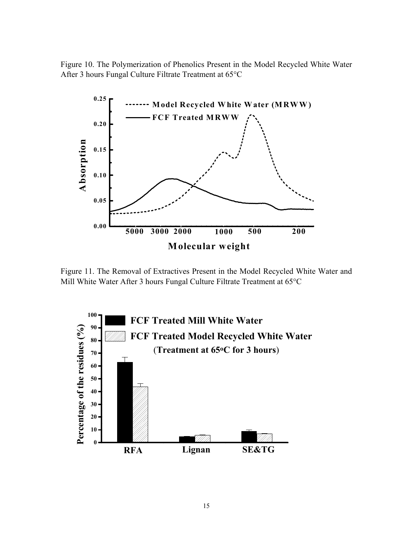Figure 10. The Polymerization of Phenolics Present in the Model Recycled White Water After 3 hours Fungal Culture Filtrate Treatment at 65°C



Figure 11. The Removal of Extractives Present in the Model Recycled White Water and Mill White Water After 3 hours Fungal Culture Filtrate Treatment at 65°C

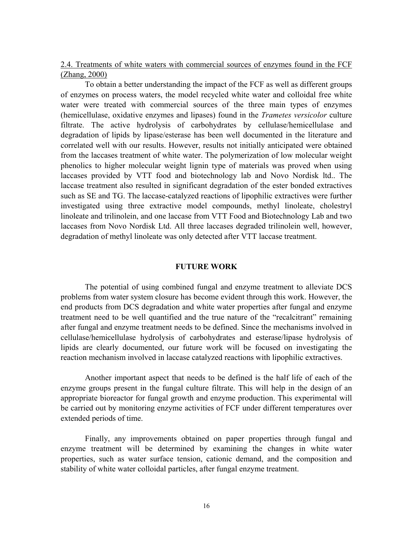2.4. Treatments of white waters with commercial sources of enzymes found in the FCF (Zhang, 2000)

To obtain a better understanding the impact of the FCF as well as different groups of enzymes on process waters, the model recycled white water and colloidal free white water were treated with commercial sources of the three main types of enzymes (hemicellulase, oxidative enzymes and lipases) found in the *Trametes versicolor* culture filtrate. The active hydrolysis of carbohydrates by cellulase/hemicellulase and degradation of lipids by lipase/esterase has been well documented in the literature and correlated well with our results. However, results not initially anticipated were obtained from the laccases treatment of white water. The polymerization of low molecular weight phenolics to higher molecular weight lignin type of materials was proved when using laccases provided by VTT food and biotechnology lab and Novo Nordisk ltd.. The laccase treatment also resulted in significant degradation of the ester bonded extractives such as SE and TG. The laccase-catalyzed reactions of lipophilic extractives were further investigated using three extractive model compounds, methyl linoleate, cholestryl linoleate and trilinolein, and one laccase from VTT Food and Biotechnology Lab and two laccases from Novo Nordisk Ltd. All three laccases degraded trilinolein well, however, degradation of methyl linoleate was only detected after VTT laccase treatment.

#### **FUTURE WORK**

The potential of using combined fungal and enzyme treatment to alleviate DCS problems from water system closure has become evident through this work. However, the end products from DCS degradation and white water properties after fungal and enzyme treatment need to be well quantified and the true nature of the "recalcitrant" remaining after fungal and enzyme treatment needs to be defined. Since the mechanisms involved in cellulase/hemicellulase hydrolysis of carbohydrates and esterase/lipase hydrolysis of lipids are clearly documented, our future work will be focused on investigating the reaction mechanism involved in laccase catalyzed reactions with lipophilic extractives.

Another important aspect that needs to be defined is the half life of each of the enzyme groups present in the fungal culture filtrate. This will help in the design of an appropriate bioreactor for fungal growth and enzyme production. This experimental will be carried out by monitoring enzyme activities of FCF under different temperatures over extended periods of time.

Finally, any improvements obtained on paper properties through fungal and enzyme treatment will be determined by examining the changes in white water properties, such as water surface tension, cationic demand, and the composition and stability of white water colloidal particles, after fungal enzyme treatment.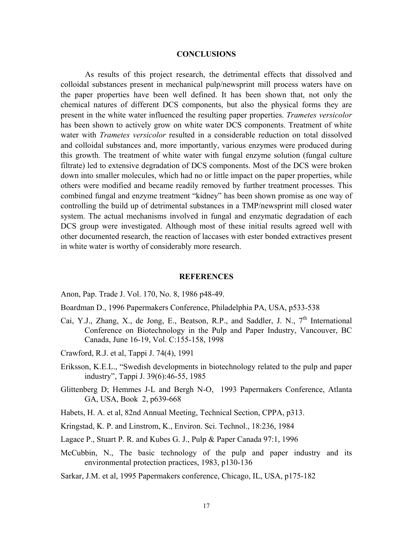#### **CONCLUSIONS**

As results of this project research, the detrimental effects that dissolved and colloidal substances present in mechanical pulp/newsprint mill process waters have on the paper properties have been well defined. It has been shown that, not only the chemical natures of different DCS components, but also the physical forms they are present in the white water influenced the resulting paper properties. *Trametes versicolor* has been shown to actively grow on white water DCS components. Treatment of white water with *Trametes versicolor* resulted in a considerable reduction on total dissolved and colloidal substances and, more importantly, various enzymes were produced during this growth. The treatment of white water with fungal enzyme solution (fungal culture filtrate) led to extensive degradation of DCS components. Most of the DCS were broken down into smaller molecules, which had no or little impact on the paper properties, while others were modified and became readily removed by further treatment processes. This combined fungal and enzyme treatment "kidney" has been shown promise as one way of controlling the build up of detrimental substances in a TMP/newsprint mill closed water system. The actual mechanisms involved in fungal and enzymatic degradation of each DCS group were investigated. Although most of these initial results agreed well with other documented research, the reaction of laccases with ester bonded extractives present in white water is worthy of considerably more research.

#### **REFERENCES**

- Anon, Pap. Trade J. Vol. 170, No. 8, 1986 p48-49.
- Boardman D., 1996 Papermakers Conference, Philadelphia PA, USA, p533-538
- Cai, Y.J., Zhang, X., de Jong, E., Beatson, R.P., and Saddler, J. N., 7<sup>th</sup> International Conference on Biotechnology in the Pulp and Paper Industry, Vancouver, BC Canada, June 16-19, Vol. C:155-158, 1998
- Crawford, R.J. et al, Tappi J. 74(4), 1991
- Eriksson, K.E.L., "Swedish developments in biotechnology related to the pulp and paper industry", Tappi J. 39(6):46-55, 1985
- Glittenberg D; Hemmes J-L and Bergh N-O, 1993 Papermakers Conference, Atlanta GA, USA, Book 2, p639-668
- Habets, H. A. et al, 82nd Annual Meeting, Technical Section, CPPA, p313.
- Kringstad, K. P. and Linstrom, K., Environ. Sci. Technol., 18:236, 1984
- Lagace P., Stuart P. R. and Kubes G. J., Pulp & Paper Canada 97:1, 1996
- McCubbin, N., The basic technology of the pulp and paper industry and its environmental protection practices, 1983, p130-136
- Sarkar, J.M. et al, 1995 Papermakers conference, Chicago, IL, USA, p175-182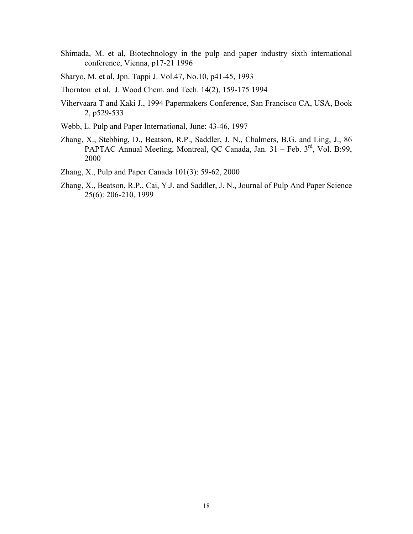- Shimada, M. et al, Biotechnology in the pulp and paper industry sixth international conference, Vienna, p17-21 1996
- Sharyo, M. et al, Jpn. Tappi J. Vol.47, No.10, p41-45, 1993
- Thornton et al, J. Wood Chem. and Tech. 14(2), 159-175 1994
- Vihervaara T and Kaki J., 1994 Papermakers Conference, San Francisco CA, USA, Book 2, p529-533
- Webb, L. Pulp and Paper International, June: 43-46, 1997
- Zhang, X., Stebbing, D., Beatson, R.P., Saddler, J. N., Chalmers, B.G. and Ling, J., 86 PAPTAC Annual Meeting, Montreal, QC Canada, Jan. 31 – Feb. 3rd, Vol. B:99, 2000
- Zhang, X., Pulp and Paper Canada 101(3): 59-62, 2000
- Zhang, X., Beatson, R.P., Cai, Y.J. and Saddler, J. N., Journal of Pulp And Paper Science 25(6): 206-210, 1999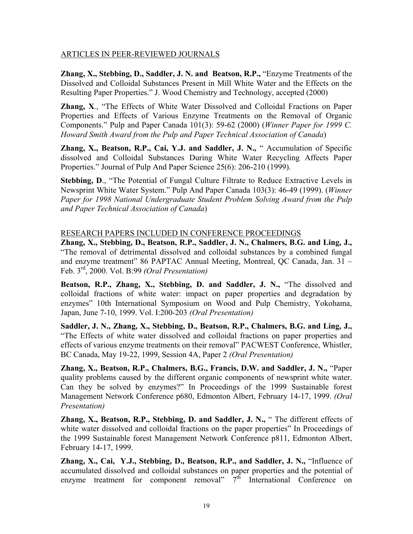# ARTICLES IN PEER-REVIEWED JOURNALS

**Zhang, X., Stebbing, D., Saddler, J. N. and Beatson, R.P.,** "Enzyme Treatments of the Dissolved and Colloidal Substances Present in Mill White Water and the Effects on the Resulting Paper Properties." J. Wood Chemistry and Technology, accepted (2000)

**Zhang, X**., "The Effects of White Water Dissolved and Colloidal Fractions on Paper Properties and Effects of Various Enzyme Treatments on the Removal of Organic Components." Pulp and Paper Canada 101(3): 59-62 (2000) (*Winner Paper for 1999 C. Howard Smith Award from the Pulp and Paper Technical Association of Canada*)

**Zhang, X., Beatson, R.P., Cai, Y.J. and Saddler, J. N.,** " Accumulation of Specific dissolved and Colloidal Substances During White Water Recycling Affects Paper Properties." Journal of Pulp And Paper Science 25(6): 206-210 (1999).

**Stebbing, D., "The Potential of Fungal Culture Filtrate to Reduce Extractive Levels in** Newsprint White Water System." Pulp And Paper Canada 103(3): 46-49 (1999). (*Winner Paper for 1998 National Undergraduate Student Problem Solving Award from the Pulp and Paper Technical Association of Canada*)

# RESEARCH PAPERS INCLUDED IN CONFERENCE PROCEEDINGS

**Zhang, X., Stebbing, D., Beatson, R.P., Saddler, J. N., Chalmers, B.G. and Ling, J.,**  "The removal of detrimental dissolved and colloidal substances by a combined fungal and enzyme treatment" 86 PAPTAC Annual Meeting, Montreal, QC Canada, Jan. 31 – Feb. 3rd, 2000. Vol. B:99 *(Oral Presentation)*

**Beatson, R.P., Zhang, X., Stebbing, D. and Saddler, J. N.,** "The dissolved and colloidal fractions of white water: impact on paper properties and degradation by enzymes" 10th International Symposium on Wood and Pulp Chemistry, Yokohama, Japan, June 7-10, 1999. Vol. I:200-203 *(Oral Presentation)*

**Saddler, J. N., Zhang, X., Stebbing, D., Beatson, R.P., Chalmers, B.G. and Ling, J.,** "The Effects of white water dissolved and colloidal fractions on paper properties and effects of various enzyme treatments on their removal" PACWEST Conference, Whistler, BC Canada, May 19-22, 1999, Session 4A, Paper 2 *(Oral Presentation)*

**Zhang, X., Beatson, R.P., Chalmers, B.G., Francis, D.W. and Saddler, J. N.,** "Paper quality problems caused by the different organic components of newsprint white water. Can they be solved by enzymes?" In Proceedings of the 1999 Sustainable forest Management Network Conference p680, Edmonton Albert, February 14-17, 1999. *(Oral Presentation)*

**Zhang, X., Beatson, R.P., Stebbing, D. and Saddler, J. N.,** " The different effects of white water dissolved and colloidal fractions on the paper properties" In Proceedings of the 1999 Sustainable forest Management Network Conference p811, Edmonton Albert, February 14-17, 1999.

**Zhang, X., Cai, Y.J., Stebbing, D., Beatson, R.P., and Saddler, J. N.,** "Influence of accumulated dissolved and colloidal substances on paper properties and the potential of enzyme treatment for component removal"  $7<sup>th</sup>$  International Conference on